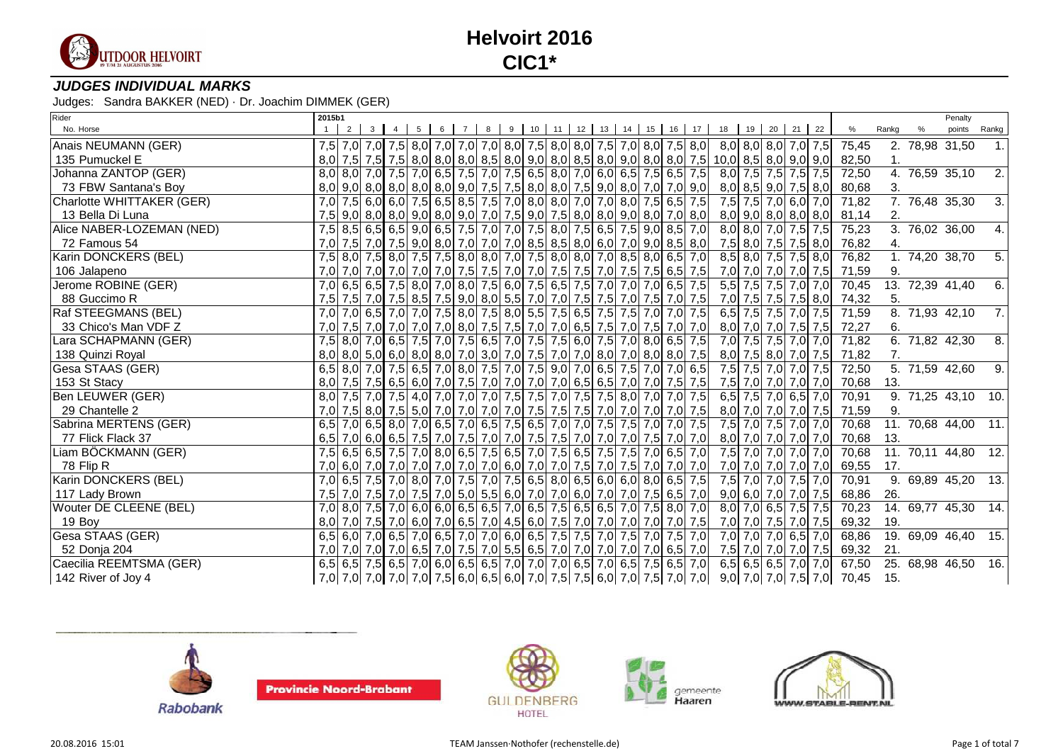

### **JUDGES INDIVIDUAL MARKS**

| Rider                     | 2015b1 |                     |  |       |   |  |  |                                                                                                       |  |  |  |                                                                                                     |                                                                                                               |       | Penalty                        |                  |
|---------------------------|--------|---------------------|--|-------|---|--|--|-------------------------------------------------------------------------------------------------------|--|--|--|-----------------------------------------------------------------------------------------------------|---------------------------------------------------------------------------------------------------------------|-------|--------------------------------|------------------|
| No. Horse                 |        | $2 \quad 3 \quad 4$ |  | 5 6 7 | 8 |  |  |                                                                                                       |  |  |  | 9 10 11 12 13 14 15 16 17 18 19 20 21 22                                                            | %                                                                                                             | Rankg | points                         | Rankg            |
| Anais NEUMANN (GER)       |        |                     |  |       |   |  |  |                                                                                                       |  |  |  | 7,5 7,0 7,0 7,0 7,5 8,0 7,0 7,0 7,0 8,0 7,5 8,0 8,0 7,5 7,0 8,0 7,5 8,0 8,0 8,0 8,0 7,0 7,5 8,0     | 75,45                                                                                                         |       | 2. 78,98 31,50                 |                  |
| 135 Pumuckel E            |        |                     |  |       |   |  |  |                                                                                                       |  |  |  | $8,0$ 7,5 7,5 7,5 8,0 8,0 8,0 8,0 8,5 8,0 9,0 8,0 8,5 8,0 9,0 8,0 8,0 7,5 10,0 8,5 8,0 9,0 9,0      | 82,50                                                                                                         | 1.    |                                |                  |
| Johanna ZANTOP (GER)      |        |                     |  |       |   |  |  | 8,0 8,0 7,0 7,5 7,0 6,5 7,5 7,0 7,5 6,5 8,0 7,0 6,0 6,5 7,5 6,5 7,5                                   |  |  |  | 8,0 7,5 7,5 7,5 7,5                                                                                 | 72,50                                                                                                         |       | 4. 76,59 35,10                 | 2.               |
| 73 FBW Santana's Boy      |        |                     |  |       |   |  |  |                                                                                                       |  |  |  | $8,0$ 9,0 8,0 8,0 8,0 8,0 8,0 9,0 7,5 7,5 8,0 8,0 7,5 9,0 8,0 7,0 7,0 9,0 8,0 8,5 9,0 7,5 8,0       | 80,68                                                                                                         | 3.    |                                |                  |
| Charlotte WHITTAKER (GER) |        |                     |  |       |   |  |  | 7,0 7,5 6,0 6,0 7,5 6,5 8,5 7,5 7,0 8,0 8,0 7,0 7,0 8,0 7,5 6,5 7,5                                   |  |  |  | 7,5 7,5 7,0 6,0 7,0                                                                                 | 71,82                                                                                                         |       | $\overline{7.}$ 76,48 35,30    | 3.               |
| 13 Bella Di Luna          |        |                     |  |       |   |  |  |                                                                                                       |  |  |  | 7,5 9,0 8,0 8,0 9,0 8,0 9,0 8,0 9,0 7,0 7,5 9,0 7,5 8,0 8,0 9,0 8,0 7,0 8,0 8,0 9,0 8,0 8,0 8,0 8,0 | 81,14                                                                                                         | 2.    |                                |                  |
| Alice NABER-LOZEMAN (NED) |        |                     |  |       |   |  |  | 7,5 8,5 6,5 6,5 9,0 6,5 7,5 7,0 7,0 7,5 8,0 7,5 6,5 7,5 9,0 8,5 7,0                                   |  |  |  | 8,0 8,0 7,0 7,5 7,5                                                                                 | 75,23                                                                                                         |       | $\overline{3.76,02}$ 36,00     | 4.               |
| 72 Famous 54              |        |                     |  |       |   |  |  | 7,0 7,5 7,0 7,5 9,0 8,0 7,0 7,0 7,0 8,5 8,5 8,0 6,0 7,0 9,0 8,5 8,0                                   |  |  |  | 7,5 8,0 7,5 7,5 8,0                                                                                 | 76,82                                                                                                         | 4.    |                                |                  |
| Karin DONCKERS (BEL)      |        |                     |  |       |   |  |  | 7,5 8,0 7,5 8,0 7,5 7,5 8,0 8,0 7,0 7,5 8,0 8,0 7,0 8,5 8,0 6,5 7,0                                   |  |  |  | $8,5$ $8,0$ $7,5$ $7,5$ $8,0$                                                                       | 76,82                                                                                                         |       | 1. 74,20 38,70                 | 5.               |
| 106 Jalapeno              |        |                     |  |       |   |  |  | 7,0 7,0 7,0 7,0 7,0 7,0 7,5 7,5 7,0 7,0 7,0 7,5 7,5 7,0 7,5 7,5 6,5 7,5                               |  |  |  | 7,0 7,0 7,0 7,0 7,5                                                                                 | 71,59                                                                                                         | 9.    |                                |                  |
| Jerome ROBINE (GER)       |        |                     |  |       |   |  |  | 7,0 6,5 6,5 7,5 8,0 7,0 8,0 7,5 6,0 7,5 6,5 7,5 7,0 7,0 7,0 6,5 7,5                                   |  |  |  | $5,5$ 7,5 7,5 7,0 7,0                                                                               | 70,45                                                                                                         |       | 13. 72,39 41,40                | 6.               |
| 88 Guccimo R              |        |                     |  |       |   |  |  | 7,5 7,0 7,5 7,0 7,5 8,5 7,5 9,0 8,0 5,5 7,0 7,0 7,5 7,5 7,0 7,5 7,0 7,5 7,0 7,5                       |  |  |  |                                                                                                     | 7,0 7,5 7,5 7,5 8,0 74,32                                                                                     | 5.    |                                |                  |
| Raf STEEGMANS (BEL)       |        |                     |  |       |   |  |  | 7,0 7,0 6,5 7,0 7,0 7,5 8,0 7,5 8,0 5,5 7,5 6,5 7,5 7,5 7,0 7,0 7,5                                   |  |  |  | 6,5 7,5 7,5 7,0 7,5                                                                                 | 71,59                                                                                                         |       | 8. 71,93 42,10                 | 7.               |
| 33 Chico's Man VDF Z      |        |                     |  |       |   |  |  | 7,0 7,5 7,0 7,0 7,0 7,0 8,0 7,5 7,5 7,0 7,0 6,5 7,5 7,0 7,0 7,5 7,0 7,0                               |  |  |  | 8,0 7,0 7,0 7,5 7,5                                                                                 | 72,27                                                                                                         | 6.    |                                |                  |
| Lara SCHAPMANN (GER)      |        |                     |  |       |   |  |  | 7,5 8,0 7,0 6,5 7,5 7,0 7,5 6,5 7,0 7,5 7,5 6,0 7,5 7,0 8,0 6,5 7,5                                   |  |  |  | 7,0 7,5 7,5 7,0 7,0                                                                                 | 71,82                                                                                                         |       | 6.71,8242,30                   | $\overline{8}$ . |
| 138 Quinzi Royal          |        |                     |  |       |   |  |  | $8,0$ $8,0$ $5,0$ $6,0$ $8,0$ $8,0$ $7,0$ $3,0$ $7,0$ $7,5$ $7,0$ $7,0$ $8,0$ $7,0$ $8,0$ $8,0$ $7,5$ |  |  |  | $8,0$ 7,5 $8,0$ 7,0 7,5                                                                             | 71,82                                                                                                         | 7.    |                                |                  |
| Gesa STAAS (GER)          |        |                     |  |       |   |  |  | 6,5 8,0 7,0 7,5 6,5 7,0 8,0 7,5 7,0 7,5 9,0 7,0 6,5 7,5 7,0 7,0 6,5                                   |  |  |  | 7,5 7,5 7,0 7,0 7,5                                                                                 | 72,50                                                                                                         |       | 5. 71,59 42,60                 | ق.               |
| 153 St Stacy              |        |                     |  |       |   |  |  | 8,0 7,5 7,5 6,5 6,0 7,0 7,5 7,0 7,0 7,0 7,0 7,0 6,5 6,5 7,0 7,0 7,5 7,5                               |  |  |  | 7,5 7,0 7,0 7,0 7,0                                                                                 | 70,68                                                                                                         | 13.   |                                |                  |
| Ben LEUWER (GER)          |        |                     |  |       |   |  |  | 8,0 7,5 7,0 7,5 4,0 7,0 7,0 7,0 7,0 7,5 7,5 7,0 7,5 7,5 8,0 7,0 7,0 7,5                               |  |  |  | $6,5$ 7,5 7,0 6,5 7,0                                                                               | 70,91                                                                                                         |       | 9. 71,25 43,10 10.             |                  |
| 29 Chantelle 2            |        |                     |  |       |   |  |  | 7,0 7,5 8,0 7,5 5,0 7,0 7,0 7,0 7,0 7,5 7,5 7,5 7,0 7,0 7,0 7,0 7,0 7,5                               |  |  |  | 8,0 7,0 7,0 7,0 7,5                                                                                 | 71,59                                                                                                         | 9.    |                                |                  |
| Sabrina MERTENS (GER)     |        |                     |  |       |   |  |  | 6,5 7,0 6,5 8,0 7,0 6,5 7,0 6,5 7,5 6,5 7,0 7,0 7,5 7,5 7,5 7,0 7,0 7,5                               |  |  |  | 7,5 7,0 7,5 7,0 7,0                                                                                 | 70,68                                                                                                         |       | 11. 70,68 44,00 11.            |                  |
| 77 Flick Flack 37         |        |                     |  |       |   |  |  | $6,5$ 7,0 6,0 6,5 7,5 7,0 7,5 7,0 7,0 7,5 7,5 7,5 7,0 7,0 7,0 7,0 7,5 7,0 7,0 7,0                     |  |  |  | 8,0 7,0 7,0 7,0 7,0                                                                                 | 70,68                                                                                                         | 13.   |                                |                  |
| Liam BÖCKMANN (GER)       |        |                     |  |       |   |  |  | 7,5 6,5 6,5 7,5 7,0 8,0 6,5 7,5 6,5 7,0 7,5 6,5 7,5 7,5 7,0 6,5 7,0                                   |  |  |  | 7,5 7,0 7,0 7,0 7,0                                                                                 | 70,68                                                                                                         |       | 11. 70,11 44,80 12.            |                  |
| 78 Flip R                 |        |                     |  |       |   |  |  |                                                                                                       |  |  |  |                                                                                                     | 69,55                                                                                                         | 17.   |                                |                  |
| Karin DONCKERS (BEL)      |        |                     |  |       |   |  |  | 7,0 6,5 7,5 7,0 8,0 7,0 7,5 7,0 7,5 6,5 8,0 6,5 6,0 6,0 8,0 6,5 7,5                                   |  |  |  | 7,5 7,0 7,0 7,5 7,0                                                                                 | 70,91                                                                                                         |       | $\overline{9.69,89}$ 45,20 13. |                  |
| 117 Lady Brown            |        |                     |  |       |   |  |  | <u>7,5 7,0 7,5 7,0 7,5 7,0 7,0 5,0 5,5 6,0 7,0 7,0 6,0 7,0 7,0 7,5 6,5 7,0 7,5 7,0 </u>               |  |  |  | $9,0$ 6,0 7,0 7,0 7,5                                                                               | 68,86                                                                                                         | 26.   |                                |                  |
| Wouter DE CLEENE (BEL)    |        |                     |  |       |   |  |  | 7,0 8,0 7,5 7,0 6,0 6,0 6,5 6,5 7,0 6,5 7,5 6,5 6,5 7,0 7,5 8,0 7,0                                   |  |  |  | 8,0 7,0 6,5 7,5 7,5                                                                                 | 70,23                                                                                                         |       | 14. 69,77 45,30 14.            |                  |
| 19 Boy                    |        |                     |  |       |   |  |  | 8,0 7,0 7,0 7,5 7,0 6,0 7,0 6,5 7,0 4,5 6,0 7,5 7,0 7,0 7,0 7,0 7,0 7,0 7,5                           |  |  |  | 7,0 7,0 7,5 7,0 7,5                                                                                 | 69,32                                                                                                         | 19.   |                                |                  |
| Gesa STAAS (GER)          |        |                     |  |       |   |  |  | 6,5 6,0 7,0 6,5 7,0 6,5 7,0 7,0 6,0 6,5 7,5 7,5 7,0 7,5 7,0 7,5 7,0 7,5 7,0                           |  |  |  | 7,0 7,0 7,0 6,5 7,0                                                                                 | 68,86                                                                                                         |       | 19. 69,09 46,40 15.            |                  |
| 52 Donja 204              |        |                     |  |       |   |  |  | 7,0 7,0 7,0 7,0 7,0 6,5 7,0 7,5 7,0 5,5 6,5 7,0 7,0 7,0 7,0 7,0 6,5 7,0                               |  |  |  | 7,5 7,0 7,0 7,0 7,5                                                                                 | 69,32                                                                                                         | 21.   |                                |                  |
| Caecilia REEMTSMA (GER)   |        |                     |  |       |   |  |  | 6,5 6,5 7,5 6,5 7,0 6,0 6,5 6,5 7,0 7,0 7,0 6,5 7,0 6,5 7,5 6,5 7,0                                   |  |  |  | $6,5$ 6,5 6,5 7,0 7,0                                                                               | 67,50                                                                                                         |       | 25. 68,98 46,50 16.            |                  |
| 142 River of Joy 4        |        |                     |  |       |   |  |  |                                                                                                       |  |  |  |                                                                                                     | 7,0 7,0 7,0 7,0 7,0 7,0 7,0 7,0 7,0 8,5 6,0 6,5 6,0 7,0 7,5 6,0 7,5 6,0 7,0 7,5 7,0 7,0 7,0 7,0 7,5 7,0 70,45 | 15.   |                                |                  |











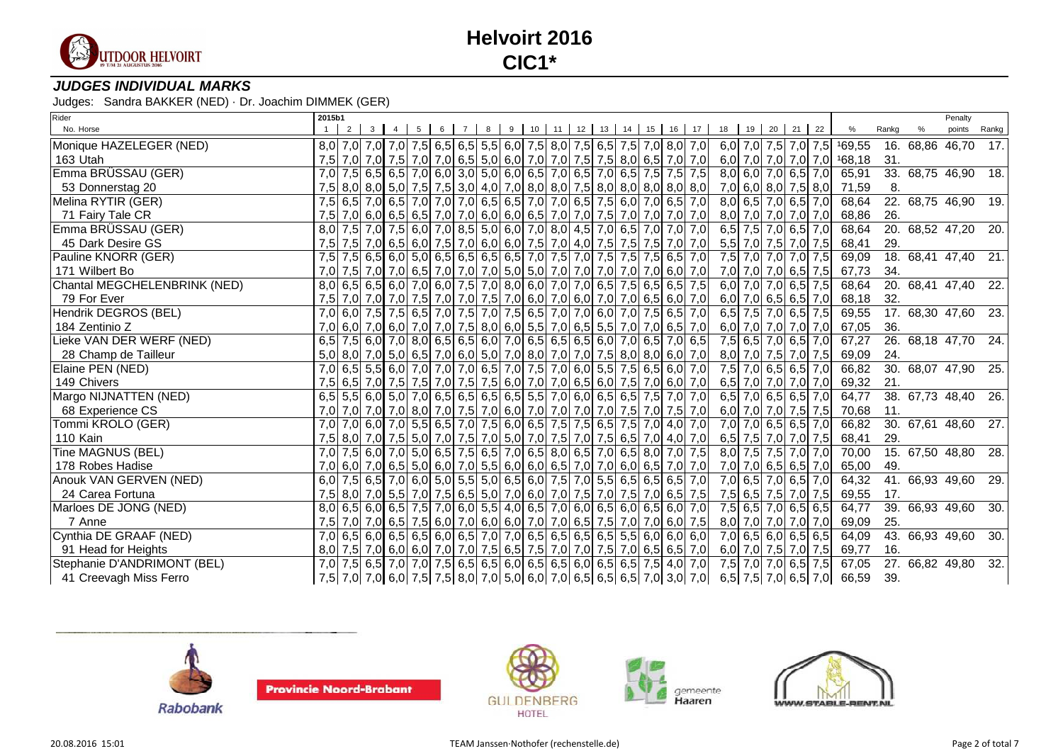

### **JUDGES INDIVIDUAL MARKS**

| Rider                        | 2015b1 |  |                        |                |     |   |  |  |                                                                                 |  |     |                     |             |     |                                                            |                            |       |                 | Penalty                      |                 |
|------------------------------|--------|--|------------------------|----------------|-----|---|--|--|---------------------------------------------------------------------------------|--|-----|---------------------|-------------|-----|------------------------------------------------------------|----------------------------|-------|-----------------|------------------------------|-----------------|
| No. Horse                    |        |  | $2 \mid 3 \mid 4 \mid$ | 5 <sup>1</sup> | 6 7 | 8 |  |  | 9 10 11 12 13 14 15 16 17                                                       |  |     | 18 19 20 21 22      |             |     |                                                            | %                          | Rankg |                 | points                       | Rankg           |
| Monique HAZELEGER (NED)      |        |  |                        |                |     |   |  |  | 8,0 7,0 7,0 7,0 7,5 6,5 6,5 5,5 6,0 7,5 8,0 7,5 6,5 7,5 7,0 8,0 7,0             |  |     |                     |             |     |                                                            | 6,0 7,0 7,5 7,0 7,5 169,55 |       | 16. 68,86 46,70 |                              | 17.             |
| 163 Utah                     |        |  |                        |                |     |   |  |  | 7,5 7,0 7,0 7,5 7,0 7,0 7,0 6,5 5,0 6,0 7,0 7,0 7,5 7,5 8,0 6,5 7,0 7,0         |  |     |                     |             |     |                                                            | 6,0 7,0 7,0 7,0 7,0 168,18 | 31.   |                 |                              |                 |
| Emma BRÜSSAU (GER)           |        |  |                        |                |     |   |  |  | 7,0 7,5 6,5 6,5 7,0 6,0 3,0 5,0 6,0 6,5 7,0 6,5 7,0 6,5 7,5 7,5 7,5 7,5         |  |     |                     |             |     | $\overline{8,0}$ 6,0 $\overline{7,0}$ 6,5 $\overline{7,0}$ | 65,91                      |       |                 | 33. 68,75 46,90              | 18.             |
| 53 Donnerstag 20             |        |  |                        |                |     |   |  |  | 7,5 8,0 8,0 5,0 7,5 7,5 3,0 4,0 7,0 8,0 8,0 7,5 8,0 8,0 8,0 8,0 8,0 8,0         |  |     |                     |             |     | 7,0 6,0 8,0 7,5 8,0                                        | 71,59                      | 8.    |                 |                              |                 |
| Melina RYTIR (GER)           |        |  |                        |                |     |   |  |  | 7,5 6,5 7,0 6,5 7,0 7,0 7,0 6,5 6,5 7,0 7,0 6,5 7,5 6,0 7,0 6,5 7,0             |  |     |                     |             |     | 8,0 6,5 7,0 6,5 7,0                                        | 68,64                      |       |                 | 22. 68,75 46,90              | 19.             |
| 71 Fairy Tale CR             | 7,5    |  |                        |                |     |   |  |  | 7,0 6,0 6,5 6,5 7,0 7,0 6,0 6,0 6,5 7,0 7,0 7,5 7,0 7,0 7,0 7,0 7,0             |  |     |                     |             |     | 8,0 7,0 7,0 7,0 7,0                                        | 68,86                      | 26.   |                 |                              |                 |
| Emma BRÜSSAU (GER)           | 8,0    |  |                        |                |     |   |  |  | 7,5 7,0 7,5 6,0 7,0 8,5 5,0 6,0 7,0 8,0 4,5 7,0 6,5 7,0 7,0                     |  | 7,0 |                     | $6,5$ 7,5   | 7,0 | $6,5$ 7,0                                                  | 68,64                      |       | 20. 68,52 47,20 |                              | 20.             |
| 45 Dark Desire GS            | 7.5    |  |                        |                |     |   |  |  | 7,5 7,0 6,5 6,0 7,5 7,0 6,0 6,0 7,5 7,0 4,0 7,5 7,5 7,5 7,5 7,0                 |  | 7,0 |                     | $5,5$ 7,0   |     | 7,5 7,0 7,5                                                | 68,41                      | 29.   |                 |                              |                 |
| Pauline KNORR (GER)          |        |  |                        |                |     |   |  |  | 7,5 7,5 6,5 6,0 5,0 6,5 6,5 6,5 6,5 7,0 7,5 7,0 7,5 7,5 7,5 6,5 7,0             |  |     |                     | $7,5$ $7,0$ | 7,0 | 7,0 7,5                                                    | 69,09                      |       |                 | 18. 68,41 47,40 21.          |                 |
| 171 Wilbert Bo               |        |  |                        |                |     |   |  |  | 7,0 7,5 7,0 7,0 6,5 7,0 7,0 7,0 5,0 5,0 7,0 7,0 7,0 7,0 7,0 7,0 6,0             |  | 7,0 | $7,0$ 7,0           |             |     | $7,0$ 6,5 7,5                                              | 67,73                      | 34.   |                 |                              |                 |
| Chantal MEGCHELENBRINK (NED) |        |  |                        |                |     |   |  |  | $8,0$ 6,5 6,5 6,0 7,0 6,0 7,5 7,0 8,0 6,0 7,0 7,0 6,5 7,5 6,5 6,5 7,5           |  |     |                     | $6,0$ 7,0   |     | $7,0$ 6,5 7,5                                              | 68,64                      |       | 20. 68,41 47,40 |                              | $\overline{22}$ |
| 79 For Ever                  | 7,5    |  |                        |                |     |   |  |  | 7,0 7,0 7,0 7,5 7,0 7,0 7,5 7,0 6,0 7,0 6,0 7,0 7,0 6,5 6,0 7,0                 |  |     |                     |             |     | 6,0 7,0 6,5 6,5 7,0                                        | 68,18                      | 32.   |                 |                              |                 |
| Hendrik DEGROS (BEL)         |        |  |                        |                |     |   |  |  | 7,0 6,0 7,5 7,5 6,5 7,0 7,5 7,0 7,5 6,5 7,0 7,0 6,0 7,0 6,0 7,0 7,5 6,5 7,0     |  |     |                     |             |     | 6,5 7,5 7,0 6,5 7,5                                        | 69,55                      |       |                 | 17. 68,30 47,60 23.          |                 |
| 184 Zentinio Z               |        |  |                        |                |     |   |  |  | 7,0 6,0 7,0 6,0 7,0 7,0 7,5 8,0 6,0 5,5 7,0 6,5 5,5 7,0 7,0 6,5 7,0             |  |     |                     |             |     | 6,0 7,0 7,0 7,0 7,0                                        | 67,05                      | 36.   |                 |                              |                 |
| Lieke VAN DER WERF (NED)     |        |  |                        |                |     |   |  |  | 6,5 7,5 6,0 7,0 8,0 6,5 6,5 6,0 7,0 6,5 6,5 6,5 6,0 7,0 6,5 7,0 6,5             |  |     |                     | $7,5$ 6,5   | 7,0 | $6,5$ 7,0                                                  | 67,27                      |       |                 | 26. 68,18 47,70 24.          |                 |
| 28 Champ de Tailleur         |        |  |                        |                |     |   |  |  | 5,0 8,0 7,0 5,0 6,5 7,0 6,0 5,0 7,0 8,0 7,0 7,0 7,5 8,0 8,0 6,0 7,0             |  |     |                     | $8,0$ 7,0   |     | 7,5 7,0 7,5                                                | 69,09                      | 24.   |                 |                              |                 |
| Elaine PEN (NED)             |        |  |                        |                |     |   |  |  | 7,0 6,5 5,5 6,0 7,0 7,0 7,0 6,5 7,0 7,5 7,0 6,0 5,5 7,5 6,5 6,0                 |  | 7,0 |                     |             |     | 7,5 7,0 6,5 6,5 7,0                                        | 66,82                      |       |                 | $\overline{30.}$ 68,07 47,90 | 25.             |
| 149 Chivers                  |        |  |                        |                |     |   |  |  | 7,5 6,5 7,0 7,5 7,5 7,0 7,5 7,5 6,0 7,0 7,0 6,5 6,0 7,5 7,0 6,0                 |  | 7,0 |                     | $6,5$ 7,0   | 7,0 | $7,0$ 7,0                                                  | 69,32                      | 21.   |                 |                              |                 |
| Margo NIJNATTEN (NED)        |        |  |                        |                |     |   |  |  | $6,5$ 5,5 6,0 5,0 7,0 6,5 6,5 6,5 6,5 5,5 7,0 6,0 6,5 6,5 7,5 7,0               |  | 7,0 |                     |             |     | 6,5 7,0 6,5 6,5 7,0                                        | 64,77                      |       |                 | 38. 67,73 48,40 26.          |                 |
| 68 Experience CS             |        |  |                        |                |     |   |  |  | 7,0 7,0 7,0 7,0 8,0 7,0 7,5 7,0 6,0 7,0 7,0 7,0 7,0 7,0 7,5 7,0 7,5 7,0         |  |     |                     |             |     | 6,0 7,0 7,0 7,5 7,5                                        | 70,68                      | 11.   |                 |                              |                 |
| Tommi KROLO (GER)            | 7,0    |  |                        |                |     |   |  |  | 7,0 6,0 7,0 5,5 6,5 7,0 7,5 6,0 6,5 7,5 7,5 6,5 7,5 7,5 7,0 4,0 7,0             |  |     |                     |             |     | 7,0 7,0 6,5 6,5 7,0                                        | 66,82                      |       | 30. 67,61 48,60 |                              | 27.             |
| 110 Kain                     |        |  |                        |                |     |   |  |  | 7,5 8,0 7,0 7,5 5,0 7,0 7,5 7,0 5,0 7,0 7,5 7,0 7,5 6,5 7,0 4,0 7,0             |  |     | 6,5 7,5 7,0 7,0 7,5 |             |     |                                                            | 68,41                      | 29.   |                 |                              |                 |
| Tine MAGNUS (BEL)            |        |  |                        |                |     |   |  |  | 7,0 7,5 6,0 7,0 5,0 6,5 7,5 6,5 7,0 6,5 8,0 6,5 7,0 6,5 8,0 7,0 7,5             |  |     |                     |             |     | 8,0 7,5 7,5 7,0 7,0                                        | 70,00                      |       |                 | 15. 67,50 48,80              | 28.             |
| 178 Robes Hadise             |        |  |                        |                |     |   |  |  | $7,0$ 6,0 $7,0$ 6,5 $5,0$ 6,0 $7,0$ 5,5 6,0 6,0 6,0 6,5 7,0 7,0 6,0 6,5 7,0 7,0 |  |     | 7,0 7,0 6,5 6,5 7,0 |             |     |                                                            | 65,00                      | 49.   |                 |                              |                 |
| Anouk VAN GERVEN (NED)       |        |  |                        |                |     |   |  |  | 6,0 7,5 6,5 7,0 6,0 5,0 5,5 5,0 6,5 6,0 7,5 7,0 5,5 6,5 6,5 6,5 7,0             |  |     |                     | $7,0$ 6,5   | 7,0 | $6,5$ 7,0                                                  | 64,32                      |       |                 | 41. 66,93 49,60              | 29.             |
| 24 Carea Fortuna             |        |  |                        |                |     |   |  |  | 7,5 8,0 7,0 5,5 7,0 7,5 6,5 5,0 7,0 6,0 7,0 7,5 7,0 7,5 7,0 6,5 7,5             |  |     |                     |             |     | 7,5 6,5 7,5 7,0 7,5                                        | 69,55                      | 17.   |                 |                              |                 |
| Marloes DE JONG (NED)        |        |  |                        |                |     |   |  |  | 8,0 6,5 6,0 6,5 7,5 7,0 6,0 5,5 4,0 6,5 7,0 6,0 6,5 6,0 6,5 6,0 7,0             |  |     |                     |             |     | 7,5 6,5 7,0 6,5 6,5                                        | 64,77                      |       | 39.66,9349,60   |                              | $\overline{30}$ |
| 7 Anne                       | 7,5    |  |                        |                |     |   |  |  | 7,0 7,0 6,5 7,5 6,0 7,0 6,0 6,0 7,0 7,0 6,5 7,5 7,0 7,0 6,0                     |  | 7,5 | $8,0$ 7,0           |             | 7,0 | $7,0$ 7,0                                                  | 69,09                      | 25.   |                 |                              |                 |
| Cynthia DE GRAAF (NED)       |        |  |                        |                |     |   |  |  | 7,0 6,5 6,0 6,5 6,5 6,0 6,5 7,0 7,0 6,5 6,5 6,5 6,5 5,5 6,0 6,0 6,0             |  |     |                     |             |     | 7,0 6,5 6,0 6,5 6,5                                        | 64,09                      |       |                 | 43.66,9349,60                | 30.             |
| 91 Head for Heights          |        |  |                        |                |     |   |  |  | 8,0 7,5 7,0 6,0 6,0 7,0 7,0 7,5 6,5 7,5 7,0 7,0 7,0 7,5 7,0 6,5 6,5 7,0         |  |     |                     |             |     | 6,0 7,0 7,5 7,0 7,5                                        | 69,77                      | 16.   |                 |                              |                 |
| Stephanie D'ANDRIMONT (BEL)  |        |  |                        |                |     |   |  |  | 7,0 7,5 6,5 7,0 7,0 7,5 6,5 6,5 6,0 6,5 6,5 6,0 6,5 6,5 7,5 4,0 7,0             |  |     | $7,5$ 7,0           |             |     | $\overline{7,0}$ 6,5 7,5                                   | 67,05                      |       |                 | 27. 66,82 49,80              | 32.             |
| 41 Creevagh Miss Ferro       |        |  |                        |                |     |   |  |  | 7,5 7,0 7,0 6,0 7,5 7,5 8,0 7,0 5,0 6,0 7,0 6,5 6,5 6,5 7,0 3,0 7,0             |  |     |                     |             |     |                                                            | 6,5 7,5 7,0 6,5 7,0 66,59  | 39.   |                 |                              |                 |









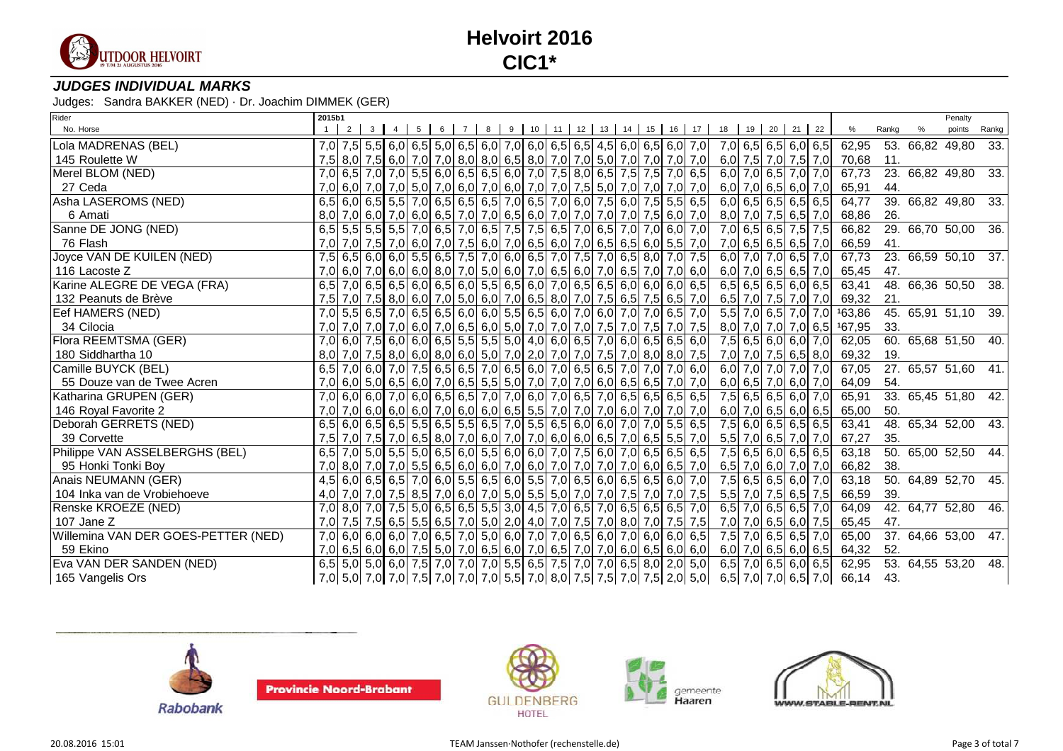

### **JUDGES INDIVIDUAL MARKS**

| Rider                               | 2015b1 |          |                 |                |     |  |  |  |  |                                                                               |                                                                     |                     |               |                       |                             |       | Penalty             |       |
|-------------------------------------|--------|----------|-----------------|----------------|-----|--|--|--|--|-------------------------------------------------------------------------------|---------------------------------------------------------------------|---------------------|---------------|-----------------------|-----------------------------|-------|---------------------|-------|
| No. Horse                           |        | $2 \mid$ | $3 \mid 4 \mid$ | 5 <sup>1</sup> | 6 7 |  |  |  |  | 8 9 10 11 12 13 14 15 16 17                                                   |                                                                     | 18 19 20 21 22      |               |                       |                             | Rankg | points              | Rankg |
| Lola MADRENAS (BEL)                 |        |          |                 |                |     |  |  |  |  | 7,0 7,5 5,5 6,0 6,5 5,0 6,5 6,0 7,0 6,0 6,5 6,5 4,5 6,0 6,5 6,0 7,0           |                                                                     | 7,0 6,5 6,5 6,0 6,5 |               |                       | 62,95                       |       | 53. 66,82 49,80     | 33.   |
| 145 Roulette W                      |        |          |                 |                |     |  |  |  |  | 7,5 8,0 7,5 6,0 7,0 7,0 8,0 8,0 6,5 8,0 7,0 7,0 5,0 7,0 7,0 7,0 7,0 7,0       |                                                                     | 6,0 7,5 7,0 7,5 7,0 |               |                       | 70,68                       | 11.   |                     |       |
| Merel BLOM (NED)                    |        |          |                 |                |     |  |  |  |  | 7,0 6,5 7,0 7,0 5,5 6,0 6,5 6,5 6,0 7,0 7,5 8,0 6,5 7,5 7,5 7,0 6,5           |                                                                     |                     |               | $6,0$ 7,0 6,5 7,0 7,0 | 67,73                       |       | 23. 66,82 49,80 33. |       |
| 27 Ceda                             |        |          |                 |                |     |  |  |  |  | 7,0 6,0 7,0 7,0 5,0 7,0 6,0 7,0 6,0 7,0 7,0 7,0 7,5 5,0 7,0 7,0 7,0 7,0 7,0   |                                                                     |                     |               | 6,0 7,0 6,5 6,0 7,0   | 65,91                       | 44.   |                     |       |
| Asha LASEROMS (NED)                 |        |          |                 |                |     |  |  |  |  | 6,5 6,0 6,5 5,5 7,0 6,5 6,5 6,5 7,0 6,5 7,0 6,6 7,6 6,0 7,5 6,0 7,5 5,5 6,5   |                                                                     |                     |               | $6,0$ 6,5 6,5 6,5 6,5 | 64,77                       |       | 39. 66,82 49,80 33. |       |
| 6 Amati                             |        |          |                 |                |     |  |  |  |  | 8,0 7,0 6,0 7,0 6,0 6,0 6,5 7,0 7,0 6,5 6,0 7,0 7,0 7,0 7,0 7,0 7,5 6,0 7,0   |                                                                     |                     |               | $8,0$ 7,0 7,5 6,5 7,0 | 68,86                       | 26.   |                     |       |
| Sanne DE JONG (NED)                 |        |          |                 |                |     |  |  |  |  | 6,5 5,5 5,5 5,5 7,0 6,5 7,0 6,5 7,5 7,5 6,5 7,0 6,5 7,0 7,0 6,0 7,0           |                                                                     |                     | $7,0$ 6,5 6,5 | $7,5$ 7,5             | 66,82                       |       | 29. 66,70 50,00 36. |       |
| 76 Flash                            | 7,0    |          |                 |                |     |  |  |  |  | 7,0 7,5 7,0 6,0 7,0 7,5 6,0 7,0 6,5 6,0 7,0 6,5 6,5 6,5 6,0 5,5 7,0           |                                                                     |                     |               | 7,0 6,5 6,5 6,5 7,0   | 66,59                       | 41.   |                     |       |
| Joyce VAN DE KUILEN (NED)           |        |          |                 |                |     |  |  |  |  | 7,5 6,5 6,0 6,0 5,5 6,5 7,5 7,0 6,0 6,5 7,0 7,5 7,0 6,5 8,0 7,0 7,5           |                                                                     |                     | $6,0$ 7,0 7,0 | $6,5$ 7,0             | 67,73                       |       | 23. 66,59 50,10 37. |       |
| 116 Lacoste Z                       |        |          |                 |                |     |  |  |  |  | 7,0 6,0 7,0 6,0 6,0 6,0 8,0 7,0 5,0 6,0 7,0 6,5 6,0 7,0 6,5 7,0 7,0 6,0       |                                                                     |                     |               | 6,0 7,0 6,5 6,5 7,0   | 65,45                       | 47.   |                     |       |
| Karine ALEGRE DE VEGA (FRA)         |        |          |                 |                |     |  |  |  |  | $6,5$ 7,0 6,5 6,5 6,0 6,5 6,0 5,5 6,5 6,0 7,0 6,5 6,5 6,0 6,0 6,0 6,0 6,5     |                                                                     |                     |               | $6,5$ 6,5 6,5 6,0 6,5 | 63,41                       |       | 48. 66,36 50,50 38. |       |
| 132 Peanuts de Brève                |        |          |                 |                |     |  |  |  |  | 7,5 7,0 7,5 8,0 6,0 7,0 5,0 6,0 7,0 6,5 8,0 7,0 7,5 6,5 7,5 6,5 7,0           |                                                                     |                     |               |                       | $6,5$ 7,0 7,5 7,0 7,0 69,32 | 21.   |                     |       |
| Eef HAMERS (NED)                    |        |          |                 |                |     |  |  |  |  | 7,0 5,5 6,5 7,0 6,5 6,5 6,0 6,0 5,5 6,5 6,0 7,0 6,0 7,0 7,0 6,5 7,0           |                                                                     |                     |               | $5,5$ 7,0 6,5 7,0 7,0 | 163,86                      |       | 45. 65,91 51,10 39. |       |
| 34 Cilocia                          |        |          |                 |                |     |  |  |  |  | 7,0 7,0 7,0 7,0 7,0 6,0 7,0 6,5 6,0 5,0 7,0 7,0 7,0 7,0 7,5 7,0 7,5 7,0 7,5   |                                                                     |                     |               |                       | 8,0 7,0 7,0 7,0 6,5 167,95  | 33.   |                     |       |
| Flora REEMTSMA (GER)                |        |          |                 |                |     |  |  |  |  | 7,0 6,0 7,5 6,0 6,0 6,5 5,5 5,5 5,0 4,0 6,0 6,5 7,0 6,0 6,5 6,5 6,0           |                                                                     |                     |               | $7,5$ 6,5 6,0 6,0 7,0 | 62,05                       |       | 60. 65,68 51,50 40. |       |
| 180 Siddhartha 10                   |        |          |                 |                |     |  |  |  |  | $8,0$ 7,0 7,5 8,0 6,0 8,0 6,0 5,0 7,0 2,0 7,0 7,0 7,0 7,5 7,0 8,0 8,0 7,5     |                                                                     |                     |               | 7,0 7,0 7,5 6,5 8,0   | 69,32                       | 19.   |                     |       |
| Camille BUYCK (BEL)                 |        |          |                 |                |     |  |  |  |  | 6,5 7,0 6,0 7,0 7,5 6,5 6,5 7,0 6,5 6,0 7,0 6,5 6,5 7,0 7,0 7,0 6,0           |                                                                     |                     | $6,0$ 7,0 7,0 | $7,0$ 7,0             | 67,05                       |       | 27. 65,57 51,60 41. |       |
| 55 Douze van de Twee Acren          |        |          |                 |                |     |  |  |  |  | 7,0 6,0 5,0 6,5 6,0 7,0 6,5 5,5 5,0 7,0 7,0 7,0 6,0 6,5 6,5 7,0 7,0           |                                                                     |                     |               | $6,0$ 6,5 7,0 6,0 7,0 | 64,09                       | 54.   |                     |       |
| Katharina GRUPEN (GER)              |        |          |                 |                |     |  |  |  |  | 7,0 6,0 6,0 7,0 6,0 6,5 6,5 7,0 7,0 6,0 7,0 6,5 7,0 6,5 6,5 6,5 6,5 6,5       |                                                                     |                     |               | 7,5 6,5 6,5 6,0 7,0   | 65,91                       |       | 33. 65,45 51,80 42. |       |
| 146 Royal Favorite 2                |        |          |                 |                |     |  |  |  |  | 7,0 7,0 6,0 6,0 6,0 7,0 6,0 6,0 6,0 6,5 5,5 7,0 7,0 7,0 6,0 7,0 7,0 7,0 7,0   |                                                                     |                     |               | 6,0 7,0 6,5 6,0 6,5   | 65,00                       | 50.   |                     |       |
| Deborah GERRETS (NED)               |        |          |                 |                |     |  |  |  |  | $6,5$ 6,0 6,5 6,5 5,5 6,5 5,5 6,5 7,0 5,5 6,5 6,0 6,0 7,0 7,0 5,5 6,5         |                                                                     |                     |               | 7,5 6,0 6,5 6,5 6,5   | 63,41                       |       | 48. 65,34 52,00 43. |       |
| 39 Corvette                         |        |          |                 |                |     |  |  |  |  | 7,5 7,0 7,5 7,0 6,5 8,0 7,0 6,0 7,0 7,0 6,0 6,0 6,0 6,5 7,0 6,5 5,5 7,0       |                                                                     | 5,5 7,0 6,5 7,0 7,0 |               |                       | 67,27                       | 35.   |                     |       |
| Philippe VAN ASSELBERGHS (BEL)      |        |          |                 |                |     |  |  |  |  | 6,5 7,0 5,0 5,5 5,0 6,5 6,0 5,5 6,0 6,0 7,0 7,5 6,0 7,0 6,5 6,5 6,5 6,5       |                                                                     |                     |               | $7,5$ 6,5 6,0 6,5 6,5 | 63,18                       |       | 50. 65,00 52,50 44. |       |
| 95 Honki Tonki Boy                  |        |          |                 |                |     |  |  |  |  | 7,0 8,0 7,0 7,0 5,5 6,5 6,0 6,0 7,0 6,0 7,0 7,0 7,0 7,0 6,0 6,5 7,0           |                                                                     | 6,5 7,0 6,0 7,0 7,0 |               |                       | 66,82                       | 38.   |                     |       |
| Anais NEUMANN (GER)                 |        |          |                 |                |     |  |  |  |  | 4,5 6,0 6,5 6,5 7,0 6,0 5,5 6,5 6,0 5,5 7,0 6,5 6,0 6,5 6,0 6,5 6,0 7,0       |                                                                     |                     |               | 7,5 6,5 6,5 6,0 7,0   | 63,18                       |       | 50. 64,89 52,70 45. |       |
| 104 Inka van de Vrobiehoeve         |        |          |                 |                |     |  |  |  |  | 4,0 7,0 7,0 7,5 8,5 7,0 6,0 7,0 5,0 5,5 5,0 7,0 7,0 7,5 7,0 7,0 7,5   7,0 7,5 |                                                                     |                     |               | 5,5 7,0 7,5 6,5 7,5   | 66,59                       | 39.   |                     |       |
| Renske KROEZE (NED)                 |        |          |                 |                |     |  |  |  |  | 7,0 8,0 7,0 7,5 5,0 6,5 6,5 5,5 3,0 4,5 7,0 6,5 7,0 6,5 6,5 6,5 7,0           |                                                                     |                     |               | $6,5$ 7,0 6,5 6,5 7,0 | 64,09                       |       | 42. 64,77 52,80 46. |       |
| 107 Jane Z                          | 7,0    |          |                 |                |     |  |  |  |  | 7,5 7,5 6,5 6,5 6,5 7,0 5,0 2,0 4,0 7,0 7,5 7,0 8,0 7,0 7,5 7,5               |                                                                     |                     |               | 7,0 7,0 6,5 6,0 7,5   | 65,45                       | 47.   |                     |       |
| Willemina VAN DER GOES-PETTER (NED) |        |          |                 |                |     |  |  |  |  | 7,0 6,0 6,0 6,0 7,0 6,5 7,0 5,0 6,0 7,0 7,0 6,5 6,0 7,0 6,0 6,0 6,0 6,5       |                                                                     |                     |               | 7,5 7,0 6,5 6,5 7,0   | 65,00                       |       | 37. 64,66 53,00 47. |       |
| 59 Ekino                            |        |          |                 |                |     |  |  |  |  | $7,0$ 6,5 6,0 6,0 7,5 5,0 7,0 6,5 6,0 7,0 6,5 7,0 7,0 6,0 6,0 6,5 6,0 6,0     |                                                                     |                     |               |                       | $6,0$ 7,0 6,5 6,0 6,5 64,32 | 52.   |                     |       |
| Eva VAN DER SANDEN (NED)            |        |          |                 |                |     |  |  |  |  | $6,5$ 5,0 5,0 6,0 7,5 7,0 7,0 7,0 5,5 6,5 7,5 7,0 7,0 6,5 8,0 2,0 5,0         |                                                                     |                     |               | $6,5$ 7,0 6,5 6,0 6,5 | 62,95                       |       | 53. 64,55 53,20 48. |       |
| 165 Vangelis Ors                    |        |          |                 |                |     |  |  |  |  |                                                                               | 7,0 5,0 7,0 7,0 7,5 7,0 7,0 7,0 5,5 7,0 8,0 7,5 7,5 7,0 7,5 2,0 5,0 |                     |               |                       | $6,5$ 7,0 7,0 6,5 7,0 66,14 | 43.   |                     |       |











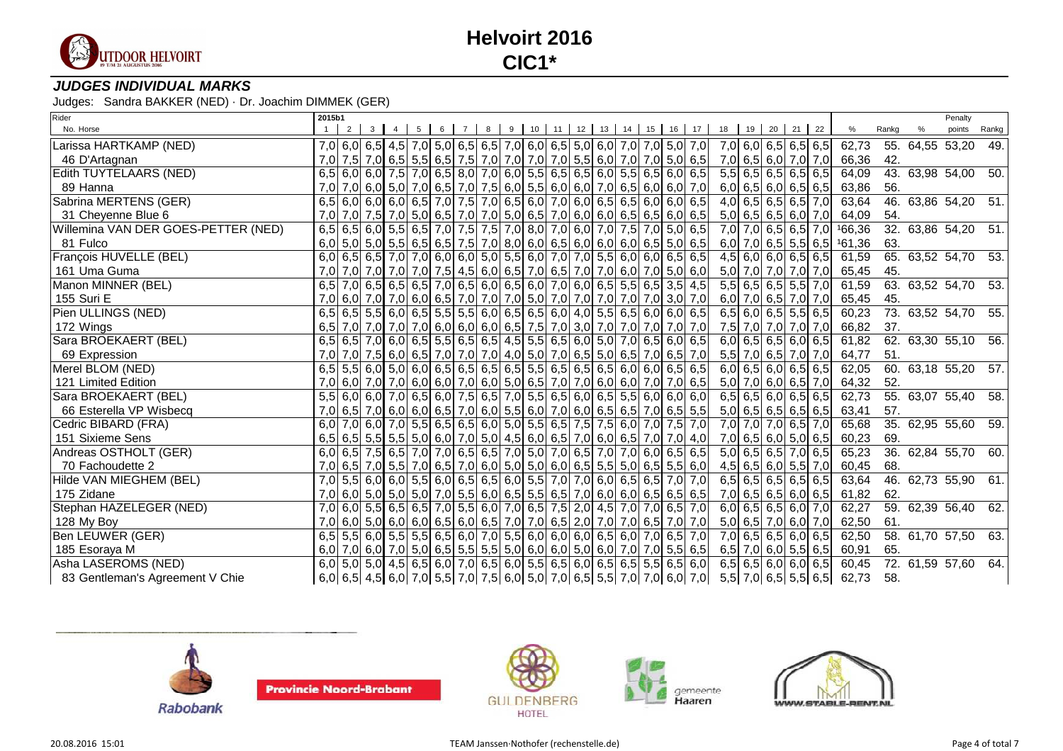

### **JUDGES INDIVIDUAL MARKS**

| Rider                               | 2015b1 |  |  |  |  |                                                                                                                                                                                        |  |  |  |                                                                                                                                                                                                   |                     |  |                                  |                              |       |                 | Penalty                       |                   |
|-------------------------------------|--------|--|--|--|--|----------------------------------------------------------------------------------------------------------------------------------------------------------------------------------------|--|--|--|---------------------------------------------------------------------------------------------------------------------------------------------------------------------------------------------------|---------------------|--|----------------------------------|------------------------------|-------|-----------------|-------------------------------|-------------------|
| No. Horse                           |        |  |  |  |  |                                                                                                                                                                                        |  |  |  | 2 3 4 5 6 7 8 9 10 11 12 13 14 15 16 17 18 19 20 21 22                                                                                                                                            |                     |  |                                  | $\%$                         | Rankg |                 | points                        | Rankg             |
| Larissa HARTKAMP (NED)              |        |  |  |  |  |                                                                                                                                                                                        |  |  |  | 7,0 6,0 6,5 4,5 7,0 5,0 6,5 6,5 7,0 6,0 6,5 5,0 6,0 7,0 7,0 5,0 7,0                                                                                                                               |                     |  | 7,0 6,0 6,5 6,5 6,5              | 62,73                        |       | 55. 64,55 53,20 |                               | 49.               |
| 46 D'Artagnan                       |        |  |  |  |  |                                                                                                                                                                                        |  |  |  | 7,0 7,5 7,0 6,5 5,5 6,5 7,5 7,0 7,0 7,0 7,0 5,5 6,0 7,0 7,0 5,0 6,5                                                                                                                               | 7,0 6,5 6,0 7,0 7,0 |  |                                  | 66,36                        | 42.   |                 |                               |                   |
| Edith TUYTELAARS (NED)              |        |  |  |  |  | $6,5$ 6,0 6,0 7,5 7,0 6,5 8,0 7,0 6,0 5,5 6,5 6,5 6,0 5,5 6,0 5,5 6,0 6,5                                                                                                              |  |  |  |                                                                                                                                                                                                   |                     |  | $5,5$ 6,5 6,5 6,5 6,5            | 64,09                        |       |                 | 43. 63,98 54,00               | 50.               |
| 89 Hanna                            |        |  |  |  |  |                                                                                                                                                                                        |  |  |  | $7,0$ $7,0$ 6,0 5,0 $7,0$ 6,5 $7,0$ $7,5$ 6,0 5,5 6,0 6,0 $7,0$ 6,5 6,0 6,0 7,0                                                                                                                   |                     |  | $6,0$ 6,5 6,0 6,5 6,5            | 63,86                        | 56.   |                 |                               |                   |
| Sabrina MERTENS (GER)               |        |  |  |  |  | 6,5 6,0 6,0 6,0 6,5 7,0 7,5 7,0 6,5 6,0 7,0 6,0 6,5 6,5 6,5 6,0 6,0 6,5                                                                                                                |  |  |  |                                                                                                                                                                                                   |                     |  | $4,0$ 6,5 6,5 6,5 7,0            | 63,64                        |       |                 | 46. 63,86 54,20               | 51.               |
| 31 Cheyenne Blue 6                  |        |  |  |  |  | 7,0 7,0 7,5 7,0 5,0 6,5 7,0 7,0 5,0 6,5 7,0 6,0 6,0 6,0 6,5 6,5 6,0 6,5                                                                                                                |  |  |  |                                                                                                                                                                                                   |                     |  | $5,0$ 6,5 6,5 6,0 7,0            | 64,09                        | 54.   |                 |                               |                   |
| Willemina VAN DER GOES-PETTER (NED) |        |  |  |  |  | 6,5 6,5 6,0 5,5 6,5 7,0 7,5 7,5 7,0 8,0 7,0 6,0 7,0 7,5 7,0 5,0 6,5                                                                                                                    |  |  |  |                                                                                                                                                                                                   |                     |  | $\overline{7,0}$ 7,0 6,5 6,5 7,0 | 166,36                       |       |                 | 32. 63,86 54,20 51.           |                   |
| 81 Fulco                            |        |  |  |  |  | $\mid$ 6,0 $\mid$ 5,0 $\mid$ 5,0 $\mid$ 5,5 $\mid$ 6,5 $\mid$ 7,5 $\mid$ 7,0 $\mid$ 8,0 $\mid$ 6,0 $\mid$ 6,0 $\mid$ 6,0 $\mid$ 6,0 $\mid$ 6,5 $\mid$ 5,0 $\mid$ 6,5                   |  |  |  |                                                                                                                                                                                                   |                     |  |                                  | $6,0$ 7,0 6,5 5,5 6,5 161,36 | 63.   |                 |                               |                   |
| François HUVELLE (BEL)              |        |  |  |  |  | $6,0$ 6,5 6,5 7,0 7,0 6,0 6,0 5,0 5,5 6,0 7,0 7,0 5,5 6,0 6,0 6,0 6,5 6,5                                                                                                              |  |  |  |                                                                                                                                                                                                   |                     |  | $\overline{4,5}$ 6,0 6,0 6,5 6,5 | 61,59                        |       |                 | 65. 63,52 54,70 53.           |                   |
| 161 Uma Guma                        |        |  |  |  |  | <u>7,0 7,0 7,0 7,0 7,0 7,0 7,5 4,5 6,0 6,5 7,0 6,5 7,0 7,0 6,0 7,0 5,0 6,0 6,0 6,0 6,5 7,0 6,5 6,5 6,5 7,0 6,5 6,0 6,5 6,0 6,5 6,5 8,5 4,5 [</u>                                       |  |  |  |                                                                                                                                                                                                   |                     |  | 5,0 7,0 7,0 7,0 7,0              | 65,45                        | 45.   |                 |                               |                   |
| Manon MINNER (BEL)                  |        |  |  |  |  |                                                                                                                                                                                        |  |  |  |                                                                                                                                                                                                   |                     |  | $5,5$ 6,5 6,5 5,5 7,0            | 61,59                        |       |                 | 63. 63,52 54,70               | $\overline{53}$ . |
| 155 Suri E                          |        |  |  |  |  | 7,0 6,0 7,0 7,0 6,0 6,0 6,5 7,0 7,0 7,0 5,0 7,0 7,0 7,0 7,0 7,0 3,0 7,0                                                                                                                |  |  |  |                                                                                                                                                                                                   |                     |  | 6,0 7,0 6,5 7,0 7,0              | 65,45                        | 45.   |                 |                               |                   |
| Pien ULLINGS (NED)                  |        |  |  |  |  | $6,5$ 6,5 5,5 6,0 6,5 5,5 5,5 6,0 6,5 6,5 6,0 4,0 5,5 6,5 6,0 6,0 6,5 6,5                                                                                                              |  |  |  |                                                                                                                                                                                                   |                     |  | $6,5$ 6,0 6,5 5,5 6,5            | 60,23                        |       |                 | 73. 63,52 54,70 55.           |                   |
| 172 Wings                           |        |  |  |  |  | $6,5$ 7,0 7,0 7,0 7,0 6,0 6,0 6,0 6,0 6,5 7,5 7,0 3,0 7,0 7,0 7,0 7,0 7,0 7,0                                                                                                          |  |  |  |                                                                                                                                                                                                   |                     |  | 7,5 7,0 7,0 7,0 7,0              | 66,82                        | 37.   |                 |                               |                   |
| Sara BROEKAERT (BEL)                |        |  |  |  |  | 6,5 6,5 7,0 6,0 6,5 5,5 6,5 6,5 4,5 5,5 6,5 6,6 5,0 5,0 7,0 6,5 6,0 6,5                                                                                                                |  |  |  |                                                                                                                                                                                                   |                     |  | $6,0$ 6,5 6,5 6,0 6,5            | 61,82                        |       |                 | 62. 63,30 55,10 56.           |                   |
| 69 Expression                       |        |  |  |  |  | 7,0 7,0 7,5 6,0 6,5 7,0 7,0 7,0 4,0 5,0 7,0 6,5 5,0 6,5 7,0 6,5 7,0                                                                                                                    |  |  |  |                                                                                                                                                                                                   |                     |  | 5,5 7,0 6,5 7,0 7,0              | 64,77                        | 51.   |                 |                               |                   |
| Merel BLOM (NED)                    |        |  |  |  |  | $6,5$ 5,5 6,0 5,0 6,0 6,5 6,5 6,5 6,5 5,5 6,5 6,5 6,5 6,5 6,0 6,0 6,5 6,5 6,5                                                                                                          |  |  |  |                                                                                                                                                                                                   |                     |  | $\overline{6,0}$ 6,5 6,0 6,5 6,5 | 62,05                        |       |                 | $\overline{60}$ . 63,18 55,20 | 57.               |
| 121 Limited Edition                 |        |  |  |  |  | 7,0 6,0 7,0 7,0 6,0 6,0 7,0 6,0 7,0 6,0 5,0 6,5 7,0 7,0 6,0 6,0 7,0 7,0 6,5                                                                                                            |  |  |  |                                                                                                                                                                                                   |                     |  | 5,0 7,0 6,0 6,5 7,0              | 64,32                        | 52.   |                 |                               |                   |
| Sara BROEKAERT (BEL)                |        |  |  |  |  | 5,5 6,0 6,0 7,0 6,5 6,0 7,5 6,5 7,0 5,5 6,5 6,0 6,5 5,5 6,0 6,0 6,0 6,0                                                                                                                |  |  |  |                                                                                                                                                                                                   |                     |  | $6,5$ 6,5 6,0 6,5 6,5            | 62,73                        |       |                 | 55. 63,07 55,40               | 58.               |
| 66 Esterella VP Wisbecq             |        |  |  |  |  | $7,0$ 6,5 $7,0$ 6,0 6,0 6,0 6,5 $7,0$ 6,0 5,5 6,0 $7,0$ 6,0 6,5 6,5 7,0 6,5 5,5 5,5                                                                                                    |  |  |  |                                                                                                                                                                                                   |                     |  | $5,0$ 6,5 6,5 6,5 6,5            | 63,41                        | 57.   |                 |                               |                   |
| Cedric BIBARD (FRA)                 |        |  |  |  |  | 6,0 7,0 6,0 7,0 5,5 6,5 6,5 6,0 5,0 5,5 6,5 7,5 7,5 6,0 7,0 7,5 7,0                                                                                                                    |  |  |  |                                                                                                                                                                                                   |                     |  | 7,0 7,0 7,0 6,5 7,0              | 65,68                        |       |                 | 35. 62,95 55,60               | 59.               |
| 151 Sixieme Sens                    |        |  |  |  |  | $6,5$ 6,5 5,5 5,5 5,0 6,0 7,0 5,0 4,5 6,0 6,5 7,0 6,0 6,5 7,0 7,0 7,0 4,0                                                                                                              |  |  |  |                                                                                                                                                                                                   |                     |  | 7,0 6,5 6,0 5,0 6,5              | 60,23                        | 69.   |                 |                               |                   |
| Andreas OSTHOLT (GER)               |        |  |  |  |  | 6,0 6,5 7,5 6,5 7,0 7,0 6,5 6,5 7,0 5,0 7,0 6,5 7,0 7,0 6,0 6,5 6,5 6,5                                                                                                                |  |  |  |                                                                                                                                                                                                   |                     |  | $\overline{5,0}$ 6,5 6,5 7,0 6,5 | 65,23                        |       |                 | 36. 62,84 55,70 60.           |                   |
| 70 Fachoudette 2                    |        |  |  |  |  |                                                                                                                                                                                        |  |  |  | $7,0$ 6,5 7,0 5,5 7,0 6,5 7,0 6,0 5,0 5,0 6,0 6,5 5,5 5,0 6,5 5,5 6,0                                                                                                                             |                     |  | $4,5$ 6,5 6,0 5,5 7,0            | 60,45                        | 68.   |                 |                               |                   |
| Hilde VAN MIEGHEM (BEL)             |        |  |  |  |  | 7,0 5,5 6,0 6,0 5,5 6,0 6,5 6,5 6,0 5,5 7,0 7,0 6,0 6,5 6,5 7,0 7,0                                                                                                                    |  |  |  |                                                                                                                                                                                                   |                     |  | $6,5$ 6,5 6,5 6,5 6,5            | 63,64                        |       |                 | 46. 62,73 55,90 61.           |                   |
| 175 Zidane                          |        |  |  |  |  | $7,0$ 6,0 5,0 5,0 5,0 7,0 5,5 6,0 6,5 5,5 6,5 7,0 6,0 6,0 6,5 6,5 6,5 6,5                                                                                                              |  |  |  |                                                                                                                                                                                                   |                     |  | $7,0$ 6,5 6,5 6,0 6,5            | 61,82                        | 62.   |                 |                               |                   |
| Stephan HAZELEGER (NED)             | 7,0    |  |  |  |  | $\mid$ 6,0 $\mid$ 5,5 $\mid$ 6,5 $\mid$ 6,5 $\mid$ 7,0 $\mid$ 5,5 $\mid$ 6,0 $\mid$ 7,0 $\mid$ 6,5 $\mid$ 7,5 $\mid$ 2,0 $\mid$ 4,5 $\mid$ 7,0 $\mid$ 7,0 $\mid$ 6,5 $\mid$ 7,0 $\mid$ |  |  |  |                                                                                                                                                                                                   |                     |  | $6,0$ 6,5 6,5 6,0 7,0            | 62,27                        |       |                 | 59. 62,39 56,40 62.           |                   |
| 128 My Boy                          |        |  |  |  |  | 7,0 6,0 5,0 6,0 6,0 6,0 6,5 6,0 6,5 7,0 7,0 6,5 2,0 7,0 7,0 6,5 7,0 7,0 7,0                                                                                                            |  |  |  |                                                                                                                                                                                                   |                     |  | 5,0 6,5 7,0 6,0 7,0              | 62,50                        | 61.   |                 |                               |                   |
| Ben LEUWER (GER)                    |        |  |  |  |  | $6,5$ 5,5 6,0 5,5 5,5 6,5 6,0 7,0 5,5 6,0 6,0 6,0 6,5 6,0 7,0 6,5 7,0                                                                                                                  |  |  |  |                                                                                                                                                                                                   |                     |  | 7,0 6,5 6,5 6,0 6,5              | 62,50                        |       |                 | 58. 61,70 57,50 63.           |                   |
| 185 Esoraya M                       |        |  |  |  |  | $6,0$ 7,0 6,0 7,0 5,0 6,5 5,5 5,5 5,0 6,0 6,0 5,0 6,0 7,0 7,0 5,5 6,5                                                                                                                  |  |  |  |                                                                                                                                                                                                   |                     |  | $6,5$ 7,0 6,0 5,5 6,5            | 60,91                        | 65.   |                 |                               |                   |
| Asha LASEROMS (NED)                 |        |  |  |  |  | 6,0 5,0 5,0 4,5 6,5 6,0 7,0 6,5 6,0 5,5 6,5 6,0 6,5 6,5 5,5 6,5 6,5 6,0                                                                                                                |  |  |  |                                                                                                                                                                                                   |                     |  | $6,5$ 6,5 6,0 6,0 6,5            | 60,45                        |       |                 | 72. 61,59 57,60               | - 64.             |
| 83 Gentleman's Agreement V Chie     |        |  |  |  |  |                                                                                                                                                                                        |  |  |  | $\mid$ 6,0 $\mid$ 6,5 $\mid$ 4,5 $\mid$ 6,0 $\mid$ 7,0 $\mid$ 5,5 $\mid$ 7,0 $\mid$ 7,5 $\mid$ 6,0 $\mid$ 5,0 $\mid$ 7,0 $\mid$ 6,5 $\mid$ 5,5 $\mid$ 7,0 $\mid$ 7,0 $\mid$ 6,0 $\mid$ 7,0 $\mid$ |                     |  |                                  | $5,5$ 7,0 6,5 5,5 6,5 62,73  | 58.   |                 |                               |                   |









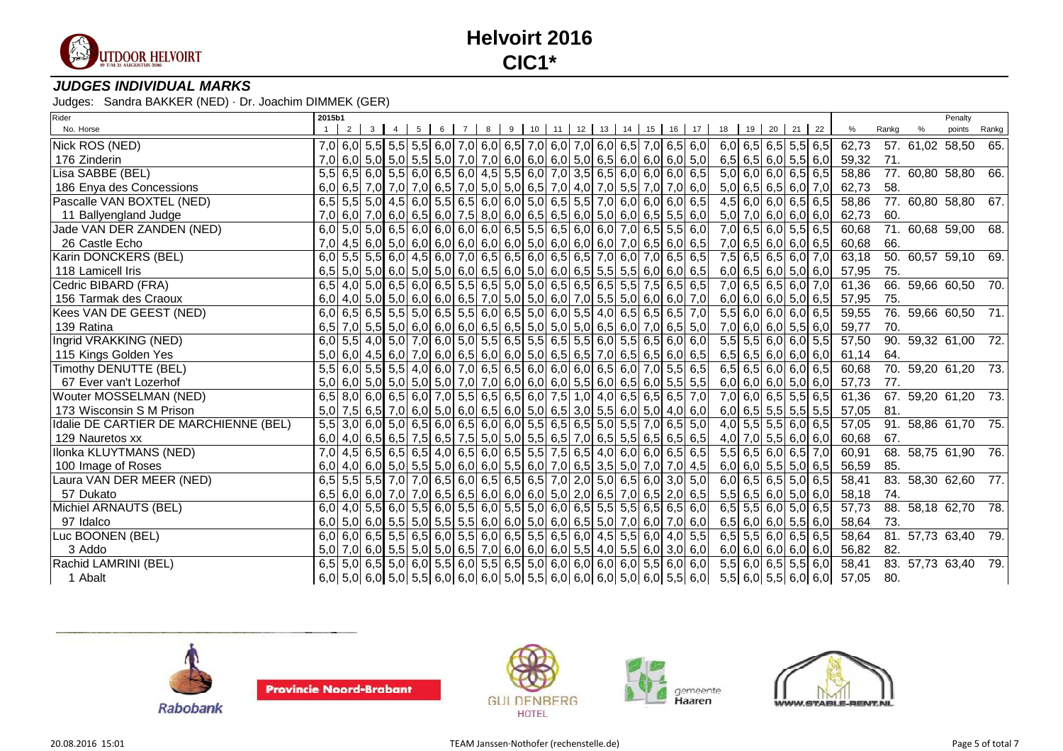

### **JUDGES INDIVIDUAL MARKS**

| Rider                                 | 2015b1 |                                                                                 |                     |  |  |                                                                                                                                                                                                                                                                                                                                                                                   |  |  |  |                                                                                                                                                                                        |                |  |                       |                             |       | Penalty                         |       |
|---------------------------------------|--------|---------------------------------------------------------------------------------|---------------------|--|--|-----------------------------------------------------------------------------------------------------------------------------------------------------------------------------------------------------------------------------------------------------------------------------------------------------------------------------------------------------------------------------------|--|--|--|----------------------------------------------------------------------------------------------------------------------------------------------------------------------------------------|----------------|--|-----------------------|-----------------------------|-------|---------------------------------|-------|
| No. Horse                             |        |                                                                                 | $2 \quad 3 \quad 4$ |  |  | 5 6 7 8 9 10 11 12 13 14 15 16 17                                                                                                                                                                                                                                                                                                                                                 |  |  |  |                                                                                                                                                                                        | 18 19 20 21 22 |  |                       | %                           | Rankg | points                          | Rankg |
| Nick ROS (NED)                        |        | 7,0 6,0 5,5 5,5 5,5 6,0 7,0 6,0 6,5 7,0 6,0 7,0 6,0 6,5 7,0 6,5 7,0 6,5 6,0     |                     |  |  |                                                                                                                                                                                                                                                                                                                                                                                   |  |  |  |                                                                                                                                                                                        |                |  | $6,0$ 6,5 6,5 5,5 6,5 | 62,73                       |       | 57. 61,02 58,50                 | 65.   |
| 176 Zinderin                          | 7,0    |                                                                                 |                     |  |  |                                                                                                                                                                                                                                                                                                                                                                                   |  |  |  |                                                                                                                                                                                        |                |  | 6,5 6,5 6,0 5,5 6,0   | 59,32                       | 71.   |                                 |       |
| Lisa SABBE (BEL)                      |        | 5,5 6,5 6,0 5,5 6,0 6,5 6,0 4,5 5,5 6,0 7,0 3,5 6,5 6,0 6,0 6,0 6,0 6,5         |                     |  |  |                                                                                                                                                                                                                                                                                                                                                                                   |  |  |  |                                                                                                                                                                                        |                |  | $5,0$ 6,0 6,0 6,5 6,5 | 58,86                       |       | 77. 60,80 58,80 66.             |       |
| 186 Enya des Concessions              |        | $6,0$ 6,5 7,0 7,0 7,0 6,5 7,0 6,5 7,0 5,0 6,5 7,0 4,0 7,0 5,5 7,0 7,0 6,0       |                     |  |  |                                                                                                                                                                                                                                                                                                                                                                                   |  |  |  |                                                                                                                                                                                        |                |  | $5,0$ 6,5 6,5 6,0 7,0 | 62,73                       | 58.   |                                 |       |
| Pascalle VAN BOXTEL (NED)             |        | 6,5 5,5 5,0 4,5 6,0 5,5 6,5 6,0 6,0 5,0 6,5 5,5 7,0 6,0 6,0 6,0 6,5             |                     |  |  |                                                                                                                                                                                                                                                                                                                                                                                   |  |  |  |                                                                                                                                                                                        |                |  | $4,5$ 6,0 6,0 6,5 6,5 | 58,86                       |       | $\overline{77.60,80}$ 58,80 67. |       |
| 11 Ballyengland Judge                 |        | $7,0$ 6,0 $7,0$ 6,0 6,0 6,5 6,0 7,5 8,0 6,0 6,5 6,5 6,0 5,0 6,0 6,0 6,5 5,5 6,0 |                     |  |  |                                                                                                                                                                                                                                                                                                                                                                                   |  |  |  |                                                                                                                                                                                        |                |  | $5,0$ 7,0 6,0 6,0 6,0 | 62,73                       | 60.   |                                 |       |
| Jade VAN DER ZANDEN (NED)             |        | $6,0$ 5,0 5,0 6,5 6,0 6,0 6,0 6,0 6,0 6,5 5,5 6,5 6,0 6,0 7,0 6,5 5,5 6,0       |                     |  |  |                                                                                                                                                                                                                                                                                                                                                                                   |  |  |  |                                                                                                                                                                                        |                |  | 7,0 6,5 6,0 5,5 6,5   | 60,68                       |       | 71. 60,68 59,00 68.             |       |
| 26 Castle Echo                        |        | 7,0 4,5 6,0 5,0 6,0 6,0 6,0 6,0 6,0 5,0 6,0 6,0 6,0 7,0 6,5 6,0 6,5             |                     |  |  |                                                                                                                                                                                                                                                                                                                                                                                   |  |  |  |                                                                                                                                                                                        |                |  | 7,0 6,5 6,0 6,0 6,5   | 60,68                       | 66.   |                                 |       |
| Karin DONCKERS (BEL)                  |        | $6,0$ 5,5 5,5 6,0 4,5 6,0 7,0 6,5 6,5 6,0 6,5 6,5 7,0 6,0 7,0 6,5 6,5 6,5       |                     |  |  |                                                                                                                                                                                                                                                                                                                                                                                   |  |  |  |                                                                                                                                                                                        |                |  | 7,5 6,5 6,5 6,0 7,0   | 63,18                       |       | $\overline{50.60,57}$ 59,10 69. |       |
| 118 Lamicell Iris                     |        | $6,5$ 5,0 5,0 6,0 5,0 5,0 6,0 6,0 6,5 6,0 5,0 6,0 6,5 5,5 5,5 6,0 6,0 6,5       |                     |  |  |                                                                                                                                                                                                                                                                                                                                                                                   |  |  |  |                                                                                                                                                                                        |                |  | $6,0$ 6,5 6,0 5,0 6,0 | 57,95                       | 75.   |                                 |       |
| Cedric BIBARD (FRA)                   |        | 6,5 4,0 5,0 6,5 6,0 6,5 5,5 6,5 5,0 5,0 6,5 6,5 6,5 5,5 7,5 6,5 6,5             |                     |  |  |                                                                                                                                                                                                                                                                                                                                                                                   |  |  |  |                                                                                                                                                                                        |                |  | 7,0 6,5 6,5 6,0 7,0   | 61,36                       |       | 66. 59,66 60,50 70.             |       |
| 156 Tarmak des Craoux                 |        | $6,0$ 4,0 5,0 5,0 6,0 6,0 6,0 6,5 7,0 5,0 5,0 6,0 7,0 5,5 5,0 6,0 6,0 7,0       |                     |  |  |                                                                                                                                                                                                                                                                                                                                                                                   |  |  |  |                                                                                                                                                                                        |                |  | $6,0$ 6,0 6,0 5,0 6,5 | 57,95                       | 75.   |                                 |       |
| Kees VAN DE GEEST (NED)               |        | 6,0 6,5 6,5 6,5 5,6 5,0 6,5 5,5 6,0 6,5 5,0 6,0 5,5 4,0 6,5 6,5 6,5 7,0         |                     |  |  |                                                                                                                                                                                                                                                                                                                                                                                   |  |  |  |                                                                                                                                                                                        |                |  | $5,5$ 6,0 6,0 6,0 6,5 | 59,55                       |       | 76. 59,66 60,50 71.             |       |
| 139 Ratina                            |        | $6,5$ 7,0 5,5 5,0 6,0 6,0 6,0 6,0 6,5 6,5 5,0 5,0 5,0 6,5 6,0 7,0 6,5 5,0       |                     |  |  |                                                                                                                                                                                                                                                                                                                                                                                   |  |  |  |                                                                                                                                                                                        |                |  |                       | 7,0 6,0 6,0 5,5 6,0 59,77   | 70.   |                                 |       |
| Ingrid VRAKKING (NED)                 |        | 6,0 5,5 4,0 5,0 7,0 6,0 5,0 5,5 6,5 5,5 6,5 5,5 6,0 5,5 6,0 5,5 6,0 6,0         |                     |  |  |                                                                                                                                                                                                                                                                                                                                                                                   |  |  |  |                                                                                                                                                                                        |                |  | $5,5$ 5,5 6,0 6,0 5,5 | 57,50                       |       | 90. 59,32 61,00 72.             |       |
| 115 Kings Golden Yes                  |        | $5,0$ 6,0 4,5 6,0 7,0 6,0 6,5 6,0 6,0 5,0 6,5 6,5 7,0 6,5 6,5 6,0 6,5 6         |                     |  |  |                                                                                                                                                                                                                                                                                                                                                                                   |  |  |  |                                                                                                                                                                                        |                |  | $6,5$ 6,5 6,0 6,0 6,0 | 61,14                       | 64.   |                                 |       |
| Timothy DENUTTE (BEL)                 |        | 5,5 6,0 5,5 5,5 4,0 6,0 7,0 6,5 6,5 6,0 6,0 6,0 6,5 6,0 7,0 5,5 6,5             |                     |  |  |                                                                                                                                                                                                                                                                                                                                                                                   |  |  |  |                                                                                                                                                                                        |                |  | $6,5$ 6,5 6,0 6,0 6,5 | 60,68                       |       | 70. 59,20 61,20 73.             |       |
| 67 Ever van't Lozerhof                |        | $5,0$ 6,0 5,0 5,0 5,0 5,0 7,0 7,0 6,0 6,0 6,0 5,5 6,0 6,5 6,0 5,5 5,5 5,5       |                     |  |  |                                                                                                                                                                                                                                                                                                                                                                                   |  |  |  |                                                                                                                                                                                        |                |  | 6,0 6,0 6,0 5,0 6,0   | 57,73                       | 77.   |                                 |       |
| Wouter MOSSELMAN (NED)                | 6.5    |                                                                                 |                     |  |  | $\vert 8,0 \vert 6,0 \vert 6,5 \vert 6,0 \vert 7,0 \vert 5,5 \vert 6,5 \vert 6,5 \vert 6,0 \vert 7,5 \vert 1,0 \vert 4,0 \vert 6,5 \vert 6,5 \vert 6,5 \vert 7,0 \vert 8,5 \vert 6,5 \vert 6,5 \vert 6,5 \vert 6,5 \vert 6,5 \vert 6,5 \vert 6,5 \vert 6,5 \vert 6,5 \vert 6,5 \vert 6,5 \vert 6,5 \vert 6,5 \vert 6,5 \vert 6,5 \vert 6,5 \vert 6,5 \vert 6,5 \vert 6,5 \vert 6$ |  |  |  |                                                                                                                                                                                        |                |  | $7,0$ 6,0 6,5 5,5 6,5 | 61,36                       |       | 67. 59,20 61,20 73.             |       |
| 173 Wisconsin S M Prison              |        | $5,0$ 7,5 6,5 7,0 6,0 5,0 6,0 6,5 6,0 5,0 6,5 3,0 5,5 6,0 5,0 4,0 6,0           |                     |  |  |                                                                                                                                                                                                                                                                                                                                                                                   |  |  |  |                                                                                                                                                                                        |                |  | $6,0$ 6,5 5,5 5,5 5,5 | 57,05                       | 81.   |                                 |       |
| Idalie DE CARTIER DE MARCHIENNE (BEL) |        | 5,5 3,0 6,0 5,0 6,5 6,0 6,5 6,0 6,0 5,5 6,5 6,5 5,0 5,5 7,0 6,5 5,0             |                     |  |  |                                                                                                                                                                                                                                                                                                                                                                                   |  |  |  |                                                                                                                                                                                        |                |  | $4,0$ 5,5 5,5 6,0 6,5 | 57,05                       |       | 91. 58,86 61,70 75.             |       |
| 129 Nauretos xx                       |        | $6,0$ 4,0 6,5 6,5 7,5 6,5 7,5 6,0 5,0 5,0 5,5 6,5 7,0 6,5 5,5 6,5 6,5 6,5 6,5   |                     |  |  |                                                                                                                                                                                                                                                                                                                                                                                   |  |  |  |                                                                                                                                                                                        |                |  | 4,0 7,0 5,5 6,0 6,0   | 60,68                       | 67.   |                                 |       |
| Ilonka KLUYTMANS (NED)                |        | 7,0 4,5 6,5 6,5 6,5 4,0 6,5 6,0 6,5 5,5 7,5 6,5 4,0 6,0 6,0 6,5 6,5 6,5         |                     |  |  |                                                                                                                                                                                                                                                                                                                                                                                   |  |  |  |                                                                                                                                                                                        |                |  | $5,5$ 6,5 6,0 6,5 7,0 | 60,91                       |       | 68. 58,75 61,90 76.             |       |
| 100 Image of Roses                    |        | $6,0$ 4,0 6,0 5,0 5,5 5,0 6,0 6,0 5,5 6,0 7,0 6,5 3,5 5,0 7,0 7,0 4,5           |                     |  |  |                                                                                                                                                                                                                                                                                                                                                                                   |  |  |  |                                                                                                                                                                                        |                |  |                       | $6,0$ 6,0 5,5 5,0 6,5 56,59 | 85.   |                                 |       |
| Laura VAN DER MEER (NED)              |        | 6,5 5,5 5,5 7,0 7,0 6,5 6,0 6,5 6,5 6,5 7,0 2,0 5,0 6,5 6,0 3,0 5,0             |                     |  |  |                                                                                                                                                                                                                                                                                                                                                                                   |  |  |  |                                                                                                                                                                                        |                |  | $6,0$ 6,5 6,5 5,0 6,5 | 58,41                       |       | 83. 58,30 62,60 77.             |       |
| 57 Dukato                             |        | 6,5 6,0 6,0 7,0 7,0 6,5 6,5 6,0 6,0 6,0 5,0 2,0 6,5 7,0 6,5 2,0 6,5             |                     |  |  |                                                                                                                                                                                                                                                                                                                                                                                   |  |  |  |                                                                                                                                                                                        |                |  | $5,5$ 6,5 6,0 5,0 6,0 | 58,18                       | 74.   |                                 |       |
| Michiel ARNAUTS (BEL)                 |        | 6,0 4,0 5,5 6,0 5,5 6,0 5,5 6,0 5,5 5,0 6,0 6,0 6,5 5,5 5,5 6,5 6,5 6,5 6,0     |                     |  |  |                                                                                                                                                                                                                                                                                                                                                                                   |  |  |  |                                                                                                                                                                                        |                |  | $6,5$ 5,5 6,0 5,0 6,5 | 57,73                       |       | 88. 58,18 62,70 78.             |       |
| 97 Idalco                             |        | $6,0$ 5,0 6,0 5,5 5,0 5,5 5,5 6,0 6,0 5,0 6,0 6,0 6,5 5,0 7,0 6,0 7,0 6,0       |                     |  |  |                                                                                                                                                                                                                                                                                                                                                                                   |  |  |  |                                                                                                                                                                                        |                |  | $6,5$ 6,0 6,0 5,5 6,0 | 58,64                       | 73.   |                                 |       |
| Luc BOONEN (BEL)                      |        | $6,0$ 6,0 6,5 5,5 6,5 6,0 5,5 6,0 6,5 5,5 6,5 6,0 4,5 5,5 6,0 4,0 5,5           |                     |  |  |                                                                                                                                                                                                                                                                                                                                                                                   |  |  |  |                                                                                                                                                                                        |                |  | $6,5$ 5,5 6,0 6,5 6,5 | 58,64                       |       | 81. 57,73 63,40 79.             |       |
| 3 Addo                                |        | $5,0$ 7,0 6,0 5,5 5,0 5,0 6,5 7,0 6,0 6,0 6,0 5,5 4,0 5,5 6,0 3,0 6,0           |                     |  |  |                                                                                                                                                                                                                                                                                                                                                                                   |  |  |  |                                                                                                                                                                                        |                |  | $6,0$ 6,0 6,0 6,0 6,0 | 56,82                       | 82.   |                                 |       |
| Rachid LAMRINI (BEL)                  |        | $6,5$ 5,0 6,5 5,0 6,0 5,5 6,0 5,5 6,5 5,0 6,0 6,0 6,0 6,0 5,5 6,0 6,0 6,0       |                     |  |  |                                                                                                                                                                                                                                                                                                                                                                                   |  |  |  |                                                                                                                                                                                        |                |  | $5,5$ 6,0 6,5 5,5 6,0 | 58,41                       |       | 83. 57,73 63,40 79.             |       |
| 1 Abalt                               |        |                                                                                 |                     |  |  |                                                                                                                                                                                                                                                                                                                                                                                   |  |  |  | $\mid$ 6,0 $\mid$ 5,0 $\mid$ 6,0 $\mid$ 5,0 $\mid$ 5,5 $\mid$ 6,0 $\mid$ 6,0 $\mid$ 5,0 $\mid$ 5,5 $\mid$ 6,0 $\mid$ 6,0 $\mid$ 6,0 $\mid$ 5,5 $\mid$ 6,0 $\mid$ 5,5 $\mid$ 6,0 $\mid$ |                |  |                       | $5,5$ 6,0 5,5 6,0 6,0 57,05 | 80.   |                                 |       |









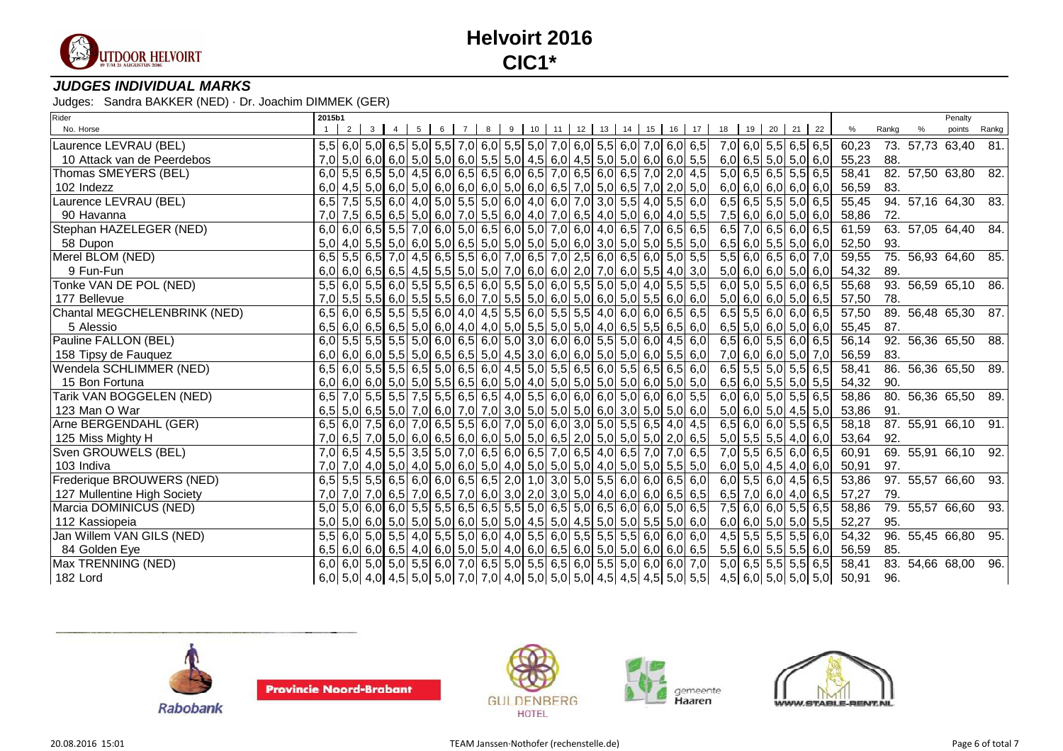

### **JUDGES INDIVIDUAL MARKS**

| Rider                        | 2015b1 |       |                 |                |  |  |                                                                                                     |  |  |  |                       |                       |  |                           |                           |       |                 | Penalty             |                   |
|------------------------------|--------|-------|-----------------|----------------|--|--|-----------------------------------------------------------------------------------------------------|--|--|--|-----------------------|-----------------------|--|---------------------------|---------------------------|-------|-----------------|---------------------|-------------------|
| No. Horse                    |        | $2-1$ | $3 \mid 4 \mid$ | 5 <sub>1</sub> |  |  | 6 7 8 9 10 11 12 13 14 15 16 17 18 19 20 21 22                                                      |  |  |  |                       |                       |  |                           | %                         | Rankg |                 | points              | Rankg             |
| Laurence LEVRAU (BEL)        |        |       |                 |                |  |  | $5,5$ 6,0 $5,0$ 6,5 $5,0$ 5,0 $5,5$ 7,0 $6,0$ 5,5 $5,0$ 7,0 $6,0$ 5,5 $6,0$ 7,0 $6,0$ 7,0 $6,0$ 6,5 |  |  |  |                       |                       |  | 7,0 6,0 5,5 6,5 6,5       | 60,23                     |       | 73. 57,73 63,40 |                     | 81.               |
| 10 Attack van de Peerdebos   |        |       |                 |                |  |  | $7,0$ 5,0 6,0 6,0 5,0 5,0 6,0 6,0 5,5 5,0 4,5 6,0 4,5 5,0 5,0 6,0 6,0 5,5                           |  |  |  | $6,0$ 6,5 5,0 5,0 6,0 |                       |  |                           | 55,23                     | 88.   |                 |                     |                   |
| Thomas SMEYERS (BEL)         |        |       |                 |                |  |  | $6,0$ 5,5 6,5 5,0 4,5 6,0 6,5 6,5 6,0 6,5 7,0 6,5 6,0 6,5 7,0 2,0 4,5                               |  |  |  |                       |                       |  | $5,0$ 6,5 6,5 5,5 6,5     | 58,41                     |       |                 | 82. 57,50 63,80     | 82.               |
| 102 Indezz                   |        |       |                 |                |  |  | $6,0$ 4,5 5,0 6,0 5,0 6,0 6,0 6,0 5,0 6,0 6,5 7,0 5,0 6,5 7,0 2,0 5,0                               |  |  |  |                       |                       |  | $6,0$ 6,0 6,0 6,0 6,0     | 56,59                     | 83.   |                 |                     |                   |
| Laurence LEVRAU (BEL)        |        |       |                 |                |  |  | 6,5 7,5 5,5 6,0 4,0 5,0 5,5 5,0 6,0 4,0 6,0 7,0 3,0 5,5 4,0 5,5 6,0                                 |  |  |  |                       |                       |  | $6,5$ 6,5 5,5 5,0 6,5     | 55,45                     |       |                 | 94. 57,16 64,30     | 83.               |
| 90 Havanna                   |        |       |                 |                |  |  | 7,0 7,5 6,5 6,5 6,5 6,0 6,0 7,0 5,5 6,0 4,0 7,0 6,5 4,0 5,0 6,0 4,0 5,5                             |  |  |  |                       |                       |  | 7,5 6,0 6,0 5,0 6,0       | 58,86                     | 72.   |                 |                     |                   |
| Stephan HAZELEGER (NED)      | 6,0    |       |                 |                |  |  | $6,0$ 6,5 5,5 7,0 6,0 5,0 6,5 6,0 5,0 7,0 6,0 4,0 6,5 7,0 6,5 6,5                                   |  |  |  |                       |                       |  | $6,5$ 7,0 6,5 6,0 6,5     | 61,59                     |       |                 | 63. 57,05 64,40     | 84.               |
| 58 Dupon                     |        |       |                 |                |  |  | $5,0$ 4,0 $5,5$ 5,0 $6,0$ 5,0 $5,0$ 6,5 $5,0$ 5,0 $5,0$ 5,0 $5,0$ 6,0 $3,0$ 5,0 $5,0$ 5,0 $5,5$ 5,0 |  |  |  |                       |                       |  | $6,5$ 6,0 5,5 5,0 6,0     | 52,50                     | 93.   |                 |                     |                   |
| Merel BLOM (NED)             | 6,5    |       |                 |                |  |  | $\overline{5,5}$ 6,5 7,0 4,5 6,5 5,5 6,0 7,0 6,5 7,0 2,5 6,0 6,5 6,0 5,0 5,0 5,5                    |  |  |  |                       |                       |  | $5,5$ 6,0 6,5 6,0 7,0     | 59,55                     |       |                 | 75. 56,93 64,60 85. |                   |
| 9 Fun-Fun                    |        |       |                 |                |  |  | $6,0$ 6,0 6,5 6,5 4,5 5,5 5,0 5,0 7,0 6,0 6,0 2,0 7,0 6,0 5,5 4,0 3,0                               |  |  |  |                       |                       |  | $5,0$ 6,0 6,0 5,0 6,0     | 54,32                     | 89.   |                 |                     |                   |
| Tonke VAN DE POL (NED)       | 5.5    |       |                 |                |  |  | $6,0$ 5,5 6,0 5,5 5,5 6,5 6,0 5,5 5,0 6,0 5,5 5,0 5,0 4,0 5,5 5,5                                   |  |  |  |                       |                       |  | $6,0$ 5,0 5,5 6,0 6,5     | 55,68                     |       |                 | 93. 56,59 65,10     | 86.               |
| 177 Bellevue                 | 7,0    |       |                 |                |  |  | $5,5$ 5,5 6,0 5,5 5,5 6,0 7,0 5,5 5,0 6,0 5,0 6,0 5,0 5,0 5,5 6,0 6,0                               |  |  |  |                       |                       |  | $5,0$ 6,0 6,0 5,0 6,5     | 57,50                     | 78.   |                 |                     |                   |
| Chantal MEGCHELENBRINK (NED) |        |       |                 |                |  |  | $6,5$ 6,0 6,5 5,5 5,5 6,0 4,0 4,5 5,5 6,0 5,5 5,5 4,0 6,0 6,0 6,5 6,5 6,5                           |  |  |  |                       |                       |  | $6,5$ 5,5 6,0 6,0 6,5     | 57,50                     |       |                 | 89. 56,48 65,30 87. |                   |
| 5 Alessio                    |        |       |                 |                |  |  | $6,5$ 6,0 6,5 6,5 6,5 6,0 6,0 4,0 4,0 5,0 5,5 5,0 5,0 4,0 6,5 5,5 6,5 6,0                           |  |  |  |                       |                       |  | $6,5$ 5,0 6,0 5,0 6,0     | 55,45                     | 87.   |                 |                     |                   |
| Pauline FALLON (BEL)         |        |       |                 |                |  |  | $6,0$ 5,5 5,5 5,5 5,0 6,0 6,5 6,0 5,0 3,0 6,0 6,0 5,5 5,0 6,0 4,5 6,0                               |  |  |  |                       |                       |  | $6,5$ 6,0 5,5 6,0 6,5     | 56,14                     |       |                 | 92. 56,36 65,50     | 88.               |
| 158 Tipsy de Fauquez         |        |       |                 |                |  |  | $6,0$ 6,0 6,0 5,5 5,0 6,5 6,5 5,0 4,5 3,0 6,0 6,0 5,0 5,0 6,0 5,5 6,0                               |  |  |  |                       |                       |  | 7,0 6,0 6,0 5,0 7,0       | 56,59                     | 83.   |                 |                     |                   |
| Wendela SCHLIMMER (NED)      | 6,5    |       |                 |                |  |  | $6,0$ 5,5 5,5 6,5 5,0 6,5 6,0 4,5 5,0 5,5 6,5 6,0 5,5 6,5 6,5 6,5 6,0                               |  |  |  |                       |                       |  | $6,5$ 5,5 5,0 5,5 6,5     | 58,41                     |       |                 | 86. 56,36 65,50     | 89.               |
| 15 Bon Fortuna               |        |       |                 |                |  |  | $6,0$ 6,0 6,0 5,0 5,0 5,0 5,5 6,5 6,0 5,0 4,0 5,0 5,0 5,0 5,0 6,0 5,0 5,0 5,0                       |  |  |  |                       |                       |  | $6,5$ 6,0 5,5 5,0 5,5     | 54,32                     | 90.   |                 |                     |                   |
| Tarik VAN BOGGELEN (NED)     | 6,5    |       |                 |                |  |  | 7,0 5,5 5,5 7,5 5,5 6,5 6,5 4,0 5,5 6,0 6,0 6,0 5,0 6,0 6,0 5,5                                     |  |  |  |                       |                       |  | $6,0$ 6,0 5,0 5,5 6,5     | 58,86                     |       |                 | 80. 56,36 65,50     | - 89.             |
| 123 Man O War                |        |       |                 |                |  |  | $6,5$ 5,0 6,5 5,0 7,0 6,0 7,0 7,0 3,0 5,0 5,0 5,0 6,0 3,0 5,0 5,0 6,0 6,0                           |  |  |  |                       |                       |  | $5,0$ 6,0 $5,0$ 4,5 $5,0$ | 53,86                     | 91.   |                 |                     |                   |
| Arne BERGENDAHL (GER)        | 6,5    |       |                 |                |  |  | $6,0$ 7,5 6,0 7,0 6,5 5,5 6,0 7,0 5,0 6,0 3,0 5,0 5,5 6,5 4,0 4,5                                   |  |  |  |                       |                       |  | $6,5$ 6,0 6,0 5,5 6,5     | 58,18                     |       |                 | 87. 55,91 66,10     | 91.               |
| 125 Miss Mighty H            |        |       |                 |                |  |  | $7,0$ 6,5 $7,0$ 5,0 6,0 6,5 6,0 6,0 5,0 5,0 6,5 2,0 5,0 5,0 5,0 2,0 6,5                             |  |  |  |                       |                       |  | $5,0$ 5,5 5,5 4,0 6,0     | 53,64                     | 92.   |                 |                     |                   |
| Sven GROUWELS (BEL)          |        |       |                 |                |  |  | 7,0 6,5 4,5 5,6 3,5 5,0 7,0 6,5 6,0 6,5 7,0 6,5 4,0 6,5 7,0 7,0 6,5                                 |  |  |  |                       |                       |  | 7,0 5,5 6,5 6,0 6,5       | 60,91                     |       |                 | 69. 55,91 66,10 92. |                   |
| 103 Indiva                   |        |       |                 |                |  |  | 7,0 7,0 4,0 5,0 4,0 5,0 6,0 5,0 4,0 5,0 5,0 5,0 4,0 5,0 5,0 5,0 5,0 5,5 5,0                         |  |  |  |                       |                       |  | 6,0 5,0 4,5 4,0 6,0       | 50,91                     | 97.   |                 |                     |                   |
| Frederique BROUWERS (NED)    |        |       |                 |                |  |  | 6,5 5,5 5,5 6,5 6,0 6,0 6,5 6,5 2,0 1,0 3,0 5,0 5,5 6,0 6,0 6,5 6,0                                 |  |  |  |                       |                       |  | $6,0$ 5,5 6,0 4,5 6,5     | 53,86                     |       |                 | 97. 55,57 66,60     | 93.               |
| 127 Mullentine High Society  |        |       |                 |                |  |  | $7,0$ $7,0$ $7,0$ 6,5 $7,0$ 6,5 $7,0$ 6,0 $3,0$ 2,0 $3,0$ 5,0 $4,0$ 6,0 $6,0$ 6,0 $6,5$ 6,5         |  |  |  |                       |                       |  | 6,5 7,0 6,0 4,0 6,5       | 57,27                     | 79.   |                 |                     |                   |
| Marcia DOMINICUS (NED)       |        |       |                 |                |  |  | 5,0 5,0 6,0 6,0 6,0 5,5 5,5 6,5 6,5 5,5 5,0 6,5 5,0 6,5 6,0 6,0 5,0 6,5                             |  |  |  |                       |                       |  | 7,5 6,0 6,0 5,5 6,5       | 58,86                     |       |                 | 79. 55,57 66,60     | $\overline{93}$ . |
| 112 Kassiopeia               |        |       |                 |                |  |  | $5,0$ 5,0 6,0 5,0 5,0 5,0 6,0 5,0 5,0 4,5 5,0 4,5 5,0 5,0 5,0 5,5 5,0 6,0                           |  |  |  |                       |                       |  | 6,0 6,0 5,0 5,0 5,5       | 52,27                     | 95.   |                 |                     |                   |
| Jan Willem VAN GILS (NED)    | 5,5    |       |                 |                |  |  | $6,0$ 5,0 5,5 4,0 5,5 5,0 6,0 4,0 5,5 6,0 5,5 5,5 5,5 6,0 6,0 6,0 6,0                               |  |  |  |                       | $4,5$ 5,5 5,5 5,5 6,0 |  |                           | 54,32                     |       |                 | 96. 55,45 66,80 95. |                   |
| 84 Golden Eye                |        |       |                 |                |  |  | $6,5$ 6,0 6,0 6,0 6,5 4,0 6,0 5,0 5,0 4,0 6,0 6,5 6,0 5,0 5,0 6,0 6,0 6,0 6,5                       |  |  |  |                       |                       |  | $5,5$ 6,0 5,5 5,5 6,0     | 56,59                     | 85.   |                 |                     |                   |
| Max TRENNING (NED)           |        |       |                 |                |  |  | 6,0 6,0 5,0 5,0 5,5 6,0 7,0 6,5 5,0 5,5 6,5 6,0 5,5 5,0 6,0 6,0 6,0 7,0                             |  |  |  |                       |                       |  | $5,0$ 6,5 5,5 5,5 6,5     | 58,41                     |       |                 | 83. 54,66 68,00     | 96.               |
| 182 Lord                     |        |       |                 |                |  |  | $6,0$ 5,0 4,0 4,5 5,0 5,0 7,0 7,0 4,0 5,0 5,0 5,0 4,5 4,5 4,5 5,0 5,5                               |  |  |  |                       |                       |  |                           | 4,5 6,0 5,0 5,0 5,0 50,91 | 96.   |                 |                     |                   |